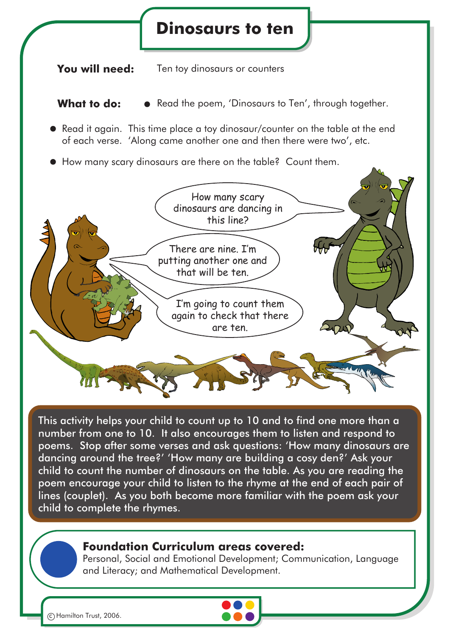## **Dinosaurs to ten**

**You will need:** Ten toy dinosaurs or counters

**What to do:**  $\bullet$  Read the poem, 'Dinosaurs to Ten', through together.

- Read it again. This time place a toy dinosaur/counter on the table at the end of each verse. 'Along came another one and then there were two', etc.
- How many scary dinosaurs are there on the table? Count them.



This activity helps your child to count up to 10 and to find one more than a number from one to 10. It also encourages them to listen and respond to poems. Stop after some verses and ask questions: 'How many dinosaurs are dancing around the tree?' 'How many are building a cosy den?' Ask your child to count the number of dinosaurs on the table. As you are reading the poem encourage your child to listen to the rhyme at the end of each pair of lines (couplet). As you both become more familiar with the poem ask your child to complete the rhymes.

## **Foundation Curriculum areas covered:**

Personal, Social and Emotional Development; Communication, Language and Literacy; and Mathematical Development.